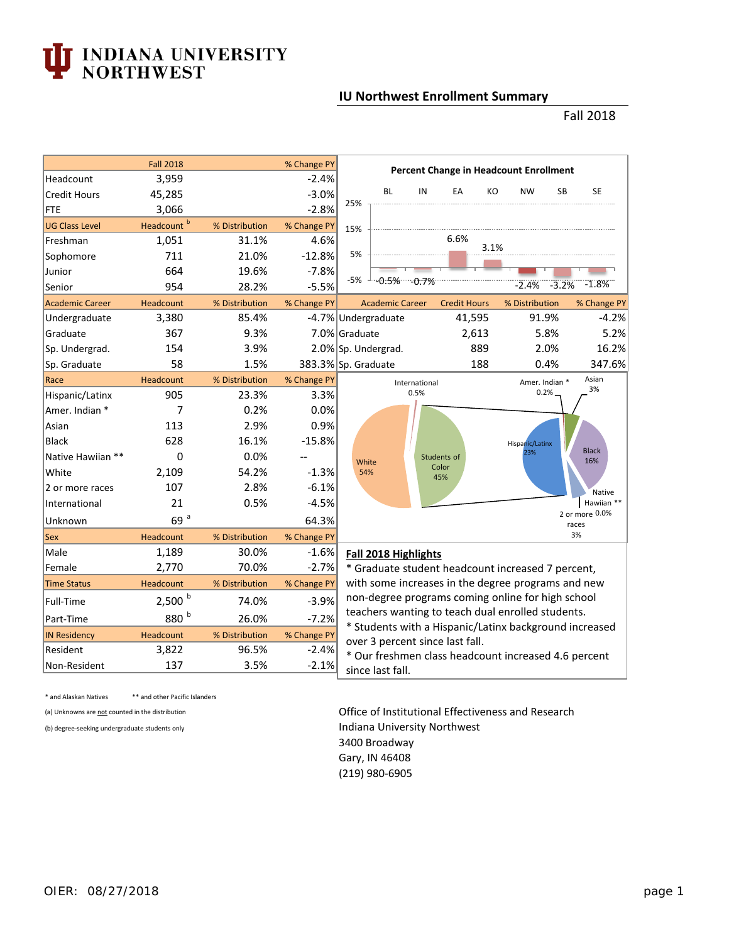## **INDIANA UNIVERSITY<br>NORTHWEST**

## **IU Northwest Enrollment Summary**

## Fall 2018

|                        | <b>Fall 2018</b>        |                | % Change PY         | <b>Percent Change in Headcount Enrollment</b>                           |                            |               |                     |       |                 |                |                         |
|------------------------|-------------------------|----------------|---------------------|-------------------------------------------------------------------------|----------------------------|---------------|---------------------|-------|-----------------|----------------|-------------------------|
| Headcount              | 3,959                   |                | $-2.4%$             |                                                                         |                            |               |                     |       |                 |                |                         |
| <b>Credit Hours</b>    | 45,285                  |                | $-3.0%$             |                                                                         | <b>BL</b>                  | IN            | EA                  | KO    | <b>NW</b>       | <b>SB</b>      | <b>SE</b>               |
| FTE                    | 3,066                   |                | $-2.8%$             | 25%                                                                     |                            |               |                     |       |                 |                |                         |
| <b>UG Class Level</b>  | Headcount <sup>b</sup>  | % Distribution | % Change PY         | 15%                                                                     |                            |               |                     |       |                 |                |                         |
| Freshman               | 1,051                   | 31.1%          | 4.6%                |                                                                         |                            |               | 6.6%                | 3.1%  |                 |                |                         |
| Sophomore              | 711                     | 21.0%          | $-12.8%$            | 5%                                                                      |                            |               |                     |       |                 |                |                         |
| Junior                 | 664                     | 19.6%          | $-7.8%$             |                                                                         |                            |               |                     |       |                 |                |                         |
| Senior                 | 954                     | 28.2%          | $-5.5%$             | $-5%$                                                                   | -0.5% -0.7%                |               |                     |       | $-2.4%$         | $-3.2%$        | $-1.8%$                 |
| <b>Academic Career</b> | Headcount               | % Distribution | % Change PY         |                                                                         | <b>Academic Career</b>     |               | <b>Credit Hours</b> |       | % Distribution  |                | % Change PY             |
| Undergraduate          | 3,380                   | 85.4%          |                     |                                                                         | -4.7% Undergraduate        |               | 41,595              |       |                 | 91.9%          | $-4.2%$                 |
| Graduate               | 367                     | 9.3%           |                     | 7.0% Graduate                                                           |                            |               |                     | 2,613 |                 | 5.8%           | 5.2%                    |
| Sp. Undergrad.         | 154                     | 3.9%           |                     |                                                                         | 2.0% Sp. Undergrad.<br>889 |               |                     |       | 2.0%            | 16.2%          |                         |
| Sp. Graduate           | 58                      | 1.5%           | 383.3% Sp. Graduate |                                                                         |                            |               |                     | 188   |                 | 0.4%           | 347.6%                  |
| Race                   | Headcount               | % Distribution | % Change PY         |                                                                         |                            | International |                     |       |                 | Amer. Indian * | Asian                   |
| Hispanic/Latinx        | 905                     | 23.3%          | 3.3%                |                                                                         |                            | 0.5%          |                     |       |                 | 0.2%           | 3%                      |
| Amer. Indian *         | 7                       | 0.2%           | 0.0%                |                                                                         |                            |               |                     |       |                 |                |                         |
| Asian                  | 113                     | 2.9%           | 0.9%                |                                                                         |                            |               |                     |       |                 |                |                         |
| <b>Black</b>           | 628                     | 16.1%          | $-15.8%$            |                                                                         |                            |               |                     |       | Hispanic/Latinx |                |                         |
| Native Hawiian **      | 0                       | 0.0%           |                     | White                                                                   |                            |               | Students of         |       | 23%             |                | <b>Black</b><br>16%     |
| White                  | 2,109                   | 54.2%          | $-1.3%$             | 54%                                                                     |                            |               | Color<br>45%        |       |                 |                |                         |
| 2 or more races        | 107                     | 2.8%           | $-6.1%$             |                                                                         |                            |               |                     |       |                 |                | Native                  |
| International          | 21                      | 0.5%           | $-4.5%$             |                                                                         |                            |               |                     |       |                 |                | Hawiian **              |
| Unknown                | 69a                     |                | 64.3%               |                                                                         |                            |               |                     |       |                 |                | 2 or more 0.0%<br>races |
| Sex                    | Headcount               | % Distribution | % Change PY         |                                                                         |                            |               |                     |       |                 |                | 3%                      |
| Male                   | 1,189                   | 30.0%          | $-1.6%$             |                                                                         | Fall 2018 Highlights       |               |                     |       |                 |                |                         |
| Female                 | 2,770                   | 70.0%          | $-2.7%$             | * Graduate student headcount increased 7 percent,                       |                            |               |                     |       |                 |                |                         |
| <b>Time Status</b>     | Headcount               | % Distribution | % Change PY         | with some increases in the degree programs and new                      |                            |               |                     |       |                 |                |                         |
| Full-Time              | $2,500$ $^{\mathrm{b}}$ | 74.0%          | $-3.9%$             | non-degree programs coming online for high school                       |                            |               |                     |       |                 |                |                         |
| Part-Time              | $880$ $^{\mathrm{b}}$   | 26.0%          | $-7.2%$             | teachers wanting to teach dual enrolled students.                       |                            |               |                     |       |                 |                |                         |
| <b>IN Residency</b>    | Headcount               | % Distribution | % Change PY         | * Students with a Hispanic/Latinx background increased                  |                            |               |                     |       |                 |                |                         |
| Resident               | 3,822                   | 96.5%          | $-2.4%$             | over 3 percent since last fall.                                         |                            |               |                     |       |                 |                |                         |
| Non-Resident           | 137                     | 3.5%           | $-2.1%$             | * Our freshmen class headcount increased 4.6 percent<br>since last fall |                            |               |                     |       |                 |                |                         |

\* and Alaskan Natives \*\* and other Pacific Islanders

(a) Unknowns are not counted in the distribution **Contact Contact Contact Contact Contact Contact Contact Contact Contact Contact Contact Contact Contact Contact Contact Contact Contact Contact Contact Contact Contact Cont** (b) degree-seeking undergraduate students only **Indiana University Northwest** 3400 Broadway Gary, IN 46408 (219) 980-6905